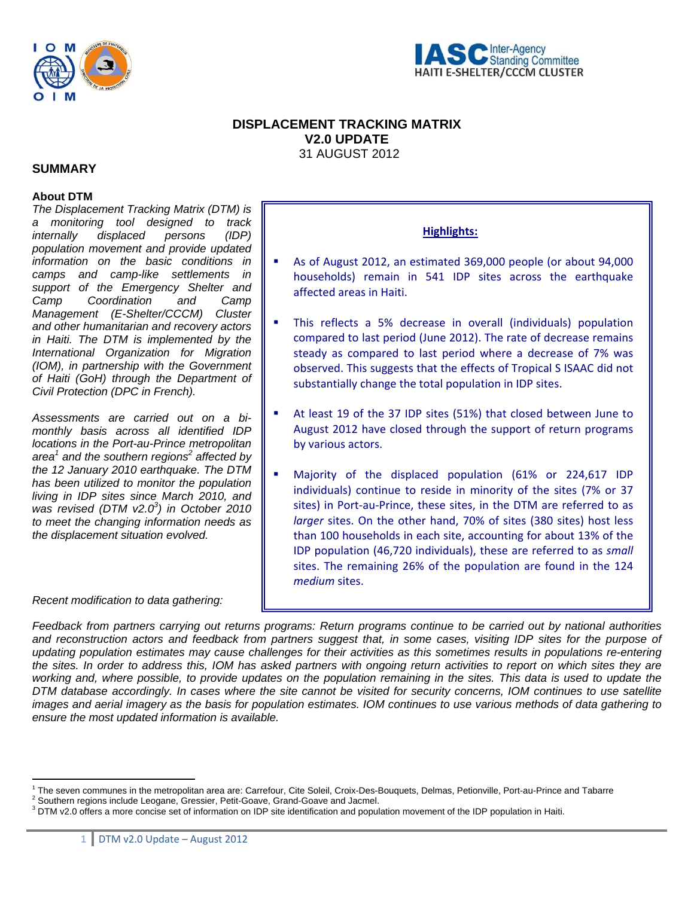



# **DISPLACEMENT TRACKING MATRIX V2.0 UPDATE**  31 AUGUST 2012

# **SUMMARY**

#### **About DTM**

*The Displacement Tracking Matrix (DTM) is a monitoring tool designed to track internally displaced persons (IDP) population movement and provide updated information on the basic conditions in camps and camp-like settlements in support of the Emergency Shelter and Camp Coordination and Camp Management (E-Shelter/CCCM) Cluster and other humanitarian and recovery actors in Haiti. The DTM is implemented by the International Organization for Migration (IOM), in partnership with the Government of Haiti (GoH) through the Department of Civil Protection (DPC in French).* 

*Assessments are carried out on a bimonthly basis across all identified IDP locations in the Port-au-Prince metropolitan*  area<sup>1</sup> and the southern regions<sup>2</sup> affected by *the 12 January 2010 earthquake. The DTM has been utilized to monitor the population living in IDP sites since March 2010, and was revised (DTM v2.03 ) in October 2010 to meet the changing information needs as the displacement situation evolved.*

*Recent modification to data gathering:* 

 $\overline{a}$ 

# **Highlights:**

- As of August 2012, an estimated 369,000 people (or about 94,000 households) remain in 541 IDP sites across the earthquake affected areas in Haiti.
- This reflects a 5% decrease in overall (individuals) population compared to last period (June 2012). The rate of decrease remains steady as compared to last period where a decrease of 7% was observed. This suggests that the effects of Tropical S ISAAC did not substantially change the total population in IDP sites.
- At least 19 of the 37 IDP sites (51%) that closed between June to August 2012 have closed through the support of return programs by various actors.
- Majority of the displaced population (61% or 224,617 IDP individuals) continue to reside in minority of the sites (7% or 37 sites) in Port-au-Prince, these sites, in the DTM are referred to as *larger* sites. On the other hand, 70% of sites (380 sites) host less than 100 households in each site, accounting for about 13% of the IDP population (46,720 individuals), these are referred to as *small* sites. The remaining 26% of the population are found in the 124 *medium* sites.

*Feedback from partners carrying out returns programs: Return programs continue to be carried out by national authorities and reconstruction actors and feedback from partners suggest that, in some cases, visiting IDP sites for the purpose of updating population estimates may cause challenges for their activities as this sometimes results in populations re-entering the sites. In order to address this, IOM has asked partners with ongoing return activities to report on which sites they are working and, where possible, to provide updates on the population remaining in the sites. This data is used to update the DTM database accordingly. In cases where the site cannot be visited for security concerns, IOM continues to use satellite images and aerial imagery as the basis for population estimates. IOM continues to use various methods of data gathering to ensure the most updated information is available.* 

<sup>&</sup>lt;sup>1</sup> The seven communes in the metropolitan area are: Carrefour, Cite Soleil, Croix-Des-Bouquets, Delmas, Petionville, Port-au-Prince and Tabarre <sup>2</sup><br><sup>2</sup> Seuthers regions include Leggane, Crossier, Petit Ceaus, Croad Ceaus

<sup>&</sup>lt;sup>2</sup> Southern regions include Leogane, Gressier, Petit-Goave, Grand-Goave and Jacmel.

 $3$  DTM v2.0 offers a more concise set of information on IDP site identification and population movement of the IDP population in Haiti.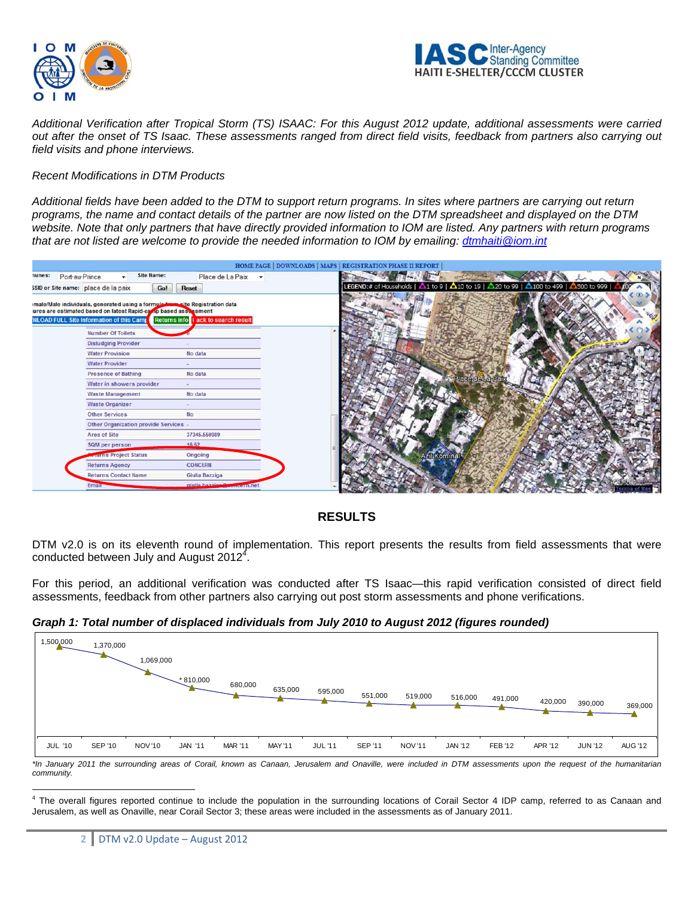



*Additional Verification after Tropical Storm (TS) ISAAC: For this August 2012 update, additional assessments were carried out after the onset of TS Isaac. These assessments ranged from direct field visits, feedback from partners also carrying out field visits and phone interviews.* 

#### *Recent Modifications in DTM Products*

*Additional fields have been added to the DTM to support return programs. In sites where partners are carrying out return programs, the name and contact details of the partner are now listed on the DTM spreadsheet and displayed on the DTM website. Note that only partners that have directly provided information to IOM are listed. Any partners with return programs that are not listed are welcome to provide the needed information to IOM by emailing: dtmhaiti@iom.int*



# **RESULTS**

DTM v2.0 is on its eleventh round of implementation. This report presents the results from field assessments that were conducted between July and August 2012<sup>4</sup>.

For this period, an additional verification was conducted after TS Isaac—this rapid verification consisted of direct field assessments, feedback from other partners also carrying out post storm assessments and phone verifications.

#### *Graph 1: Total number of displaced individuals from July 2010 to August 2012 (figures rounded)*



*\*In January 2011 the surrounding areas of Corail, known as Canaan, Jerusalem and Onaville, were included in DTM assessments upon the request of the humanitarian community.* 

 $\overline{a}$ 

<sup>&</sup>lt;sup>4</sup> The overall figures reported continue to include the population in the surrounding locations of Corail Sector 4 IDP camp, referred to as Canaan and Jerusalem, as well as Onaville, near Corail Sector 3; these areas were included in the assessments as of January 2011.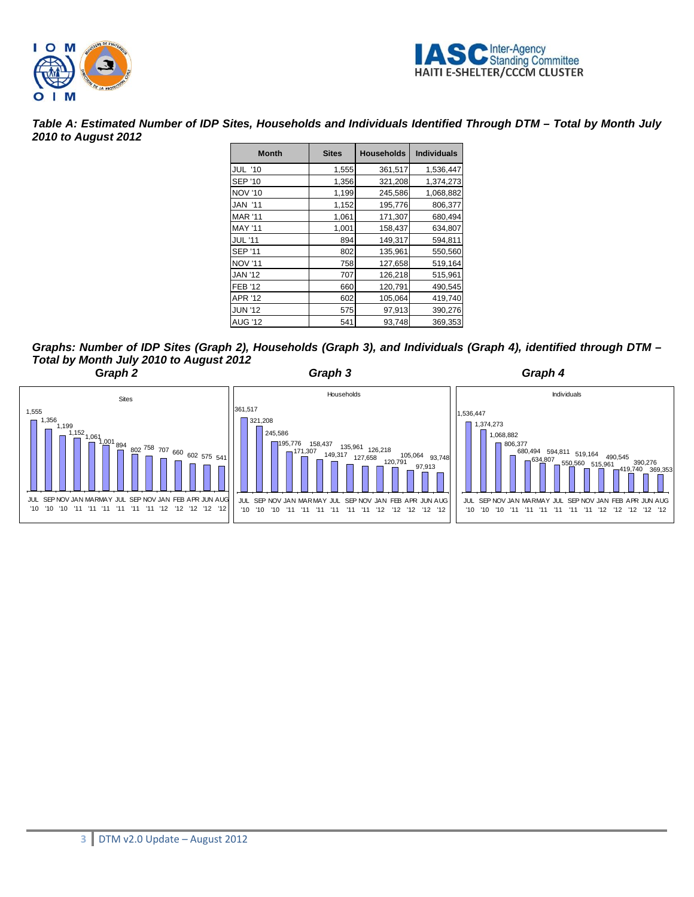



*Table A: Estimated Number of IDP Sites, Households and Individuals Identified Through DTM – Total by Month July 2010 to August 2012* 

| <b>Month</b>   | <b>Sites</b> | <b>Households</b> | <b>Individuals</b> |
|----------------|--------------|-------------------|--------------------|
| JUL '10        | 1,555        | 361,517           | 1,536,447          |
| <b>SEP '10</b> | 1,356        | 321,208           | 1,374,273          |
| <b>NOV '10</b> | 1,199        | 245,586           | 1,068,882          |
| <b>JAN '11</b> | 1,152        | 195,776           | 806,377            |
| <b>MAR '11</b> | 1,061        | 171,307           | 680,494            |
| <b>MAY '11</b> | 1,001        | 158,437           | 634,807            |
| <b>JUL</b> '11 | 894          | 149,317           | 594,811            |
| <b>SEP '11</b> | 802          | 135,961           | 550,560            |
| <b>NOV '11</b> | 758          | 127,658           | 519,164            |
| <b>JAN '12</b> | 707          | 126,218           | 515,961            |
| <b>FEB '12</b> | 660          | 120,791           | 490,545            |
| <b>APR '12</b> | 602          | 105,064           | 419,740            |
| <b>JUN '12</b> | 575          | 97,913            | 390,276            |
| <b>AUG '12</b> | 541          | 93,748            | 369,353            |

*Graphs: Number of IDP Sites (Graph 2), Households (Graph 3), and Individuals (Graph 4), identified through DTM – Total by Month July 2010 to August 2012* 

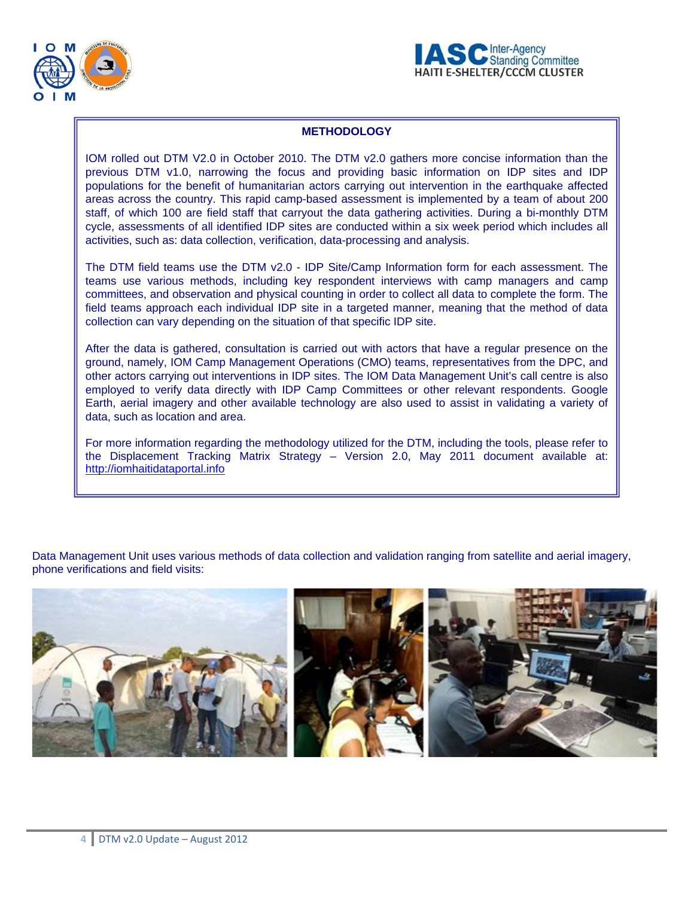



# **METHODOLOGY**

IOM rolled out DTM V2.0 in October 2010. The DTM v2.0 gathers more concise information than the previous DTM v1.0, narrowing the focus and providing basic information on IDP sites and IDP populations for the benefit of humanitarian actors carrying out intervention in the earthquake affected areas across the country. This rapid camp-based assessment is implemented by a team of about 200 staff, of which 100 are field staff that carryout the data gathering activities. During a bi-monthly DTM cycle, assessments of all identified IDP sites are conducted within a six week period which includes all activities, such as: data collection, verification, data-processing and analysis.

The DTM field teams use the DTM v2.0 - IDP Site/Camp Information form for each assessment. The teams use various methods, including key respondent interviews with camp managers and camp committees, and observation and physical counting in order to collect all data to complete the form. The field teams approach each individual IDP site in a targeted manner, meaning that the method of data collection can vary depending on the situation of that specific IDP site.

After the data is gathered, consultation is carried out with actors that have a regular presence on the ground, namely, IOM Camp Management Operations (CMO) teams, representatives from the DPC, and other actors carrying out interventions in IDP sites. The IOM Data Management Unit's call centre is also employed to verify data directly with IDP Camp Committees or other relevant respondents. Google Earth, aerial imagery and other available technology are also used to assist in validating a variety of data, such as location and area.

For more information regarding the methodology utilized for the DTM, including the tools, please refer to the Displacement Tracking Matrix Strategy – Version 2.0, May 2011 document available at: http://iomhaitidataportal.info

Data Management Unit uses various methods of data collection and validation ranging from satellite and aerial imagery, phone verifications and field visits:

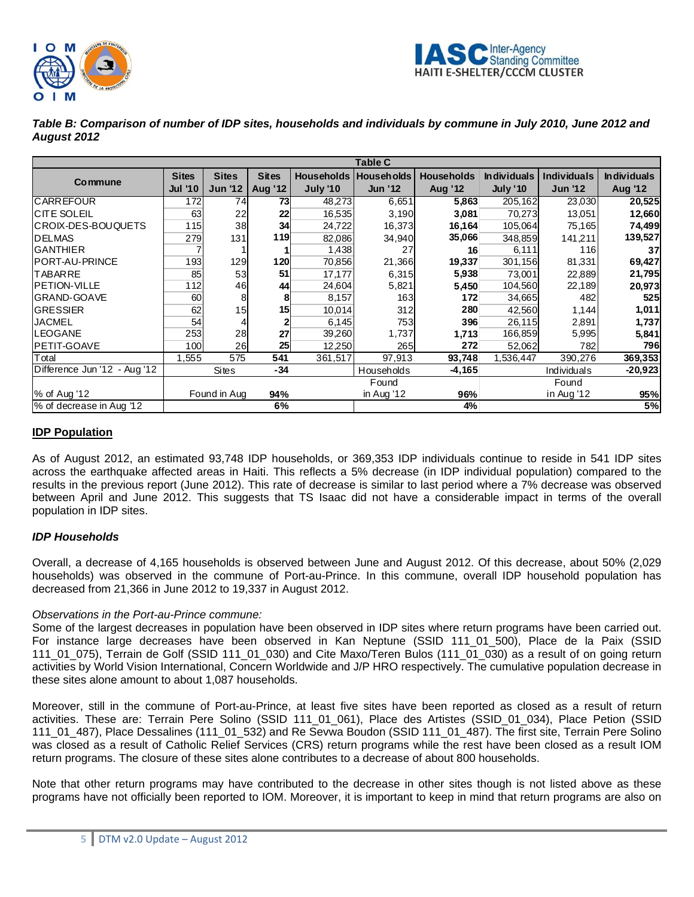



| Table B: Comparison of number of IDP sites, households and individuals by commune in July 2010, June 2012 and |  |
|---------------------------------------------------------------------------------------------------------------|--|
| August 2012                                                                                                   |  |

|                              | <b>Table C</b> |                |              |                 |                         |                   |                    |                    |                    |
|------------------------------|----------------|----------------|--------------|-----------------|-------------------------|-------------------|--------------------|--------------------|--------------------|
|                              | <b>Sites</b>   | <b>Sites</b>   | <b>Sites</b> |                 | Households   Households | <b>Households</b> | <b>Individuals</b> | <b>Individuals</b> | <b>Individuals</b> |
| Commune                      | <b>Jul '10</b> | <b>Jun '12</b> | Aug '12      | <b>July '10</b> | <b>Jun '12</b>          | <b>Aug '12</b>    | <b>July '10</b>    | <b>Jun '12</b>     | <b>Aug '12</b>     |
| <b>CARREFOUR</b>             | 172            | 74             | 73           | 48,273          | 6,651                   | 5,863             | 205,162            | 23,030             | 20,525             |
| <b>CITE SOLEIL</b>           | 63             | 22             | 22           | 16,535          | 3,190                   | 3,081             | 70,273             | 13,051             | 12,660             |
| CROIX-DES-BOUQUETS           | 115            | 38             | 34           | 24,722          | 16,373                  | 16,164            | 105,064            | 75,165             | 74,499             |
| <b>DELMAS</b>                | 279            | 131            | 119          | 82,086          | 34,940                  | 35,066            | 348,859            | 141,211            | 139,527            |
| <b>GANTHIER</b>              |                |                |              | 1,438           | 27                      | 16                | 6,111              | 116                | 37                 |
| PORT-AU-PRINCE               | 193            | 129            | 120          | 70,856          | 21,366                  | 19,337            | 301,156            | 81,331             | 69,427             |
| <b>TABARRE</b>               | 85             | 53             | 51           | 17,177          | 6,315                   | 5,938             | 73,001             | 22,889             | 21,795             |
| PETION-VILLE                 | 112            | 46             | 44           | 24,604          | 5,821                   | 5,450             | 104,560            | 22,189             | 20,973             |
| <b>GRAND-GOAVE</b>           | 60             | 8              | 8            | 8,157           | 163                     | 172               | 34,665             | 482                | <b>525</b>         |
| <b>GRESSIER</b>              | 62             | 15             | 15           | 10,014          | 312                     | 280               | 42,560             | 1,144              | 1,011              |
| <b>JACMEL</b>                | 54             |                |              | 6,145           | 753                     | 396               | 26,115             | 2,891              | 1,737              |
| LEOGANE                      | 253            | 28             | 27           | 39,260          | 1,737                   | 1,713             | 166,859            | 5,995              | 5,841              |
| PETIT-GOAVE                  | 100            | 26             | 25           | 12,250          | 265                     | 272               | 52,062             | 782                | 796                |
| Total                        | 1,555          | 575            | 541          | 361,517         | 97,913                  | 93,748            | 1,536,447          | 390,276            | 369,353            |
| Difference Jun '12 - Aug '12 |                | Sites          | $-34$        |                 | Households              | $-4,165$          |                    | Individuals        | $-20,923$          |
|                              |                |                |              |                 | Found                   |                   |                    | Found              |                    |
| % of Aug '12                 |                | Found in Aug   | 94%          |                 | in Aug '12              | 96%               |                    | in Aug '12         | 95%                |
| % of decrease in Aug '12     |                |                | 6%           |                 |                         | 4%                |                    |                    | 5%                 |

# **IDP Population**

As of August 2012, an estimated 93,748 IDP households, or 369,353 IDP individuals continue to reside in 541 IDP sites across the earthquake affected areas in Haiti. This reflects a 5% decrease (in IDP individual population) compared to the results in the previous report (June 2012). This rate of decrease is similar to last period where a 7% decrease was observed between April and June 2012. This suggests that TS Isaac did not have a considerable impact in terms of the overall population in IDP sites.

# *IDP Households*

Overall, a decrease of 4,165 households is observed between June and August 2012. Of this decrease, about 50% (2,029 households) was observed in the commune of Port-au-Prince. In this commune, overall IDP household population has decreased from 21,366 in June 2012 to 19,337 in August 2012.

# *Observations in the Port-au-Prince commune:*

Some of the largest decreases in population have been observed in IDP sites where return programs have been carried out. For instance large decreases have been observed in Kan Neptune (SSID 111\_01\_500), Place de la Paix (SSID 111\_01\_075), Terrain de Golf (SSID 111\_01\_030) and Cite Maxo/Teren Bulos (111\_01\_030) as a result of on going return activities by World Vision International, Concern Worldwide and J/P HRO respectively. The cumulative population decrease in these sites alone amount to about 1,087 households.

Moreover, still in the commune of Port-au-Prince, at least five sites have been reported as closed as a result of return activities. These are: Terrain Pere Solino (SSID 111\_01\_061), Place des Artistes (SSID\_01\_034), Place Petion (SSID 111\_01\_487), Place Dessalines (111\_01\_532) and Re Sevwa Boudon (SSID 111\_01\_487). The first site, Terrain Pere Solino was closed as a result of Catholic Relief Services (CRS) return programs while the rest have been closed as a result IOM return programs. The closure of these sites alone contributes to a decrease of about 800 households.

Note that other return programs may have contributed to the decrease in other sites though is not listed above as these programs have not officially been reported to IOM. Moreover, it is important to keep in mind that return programs are also on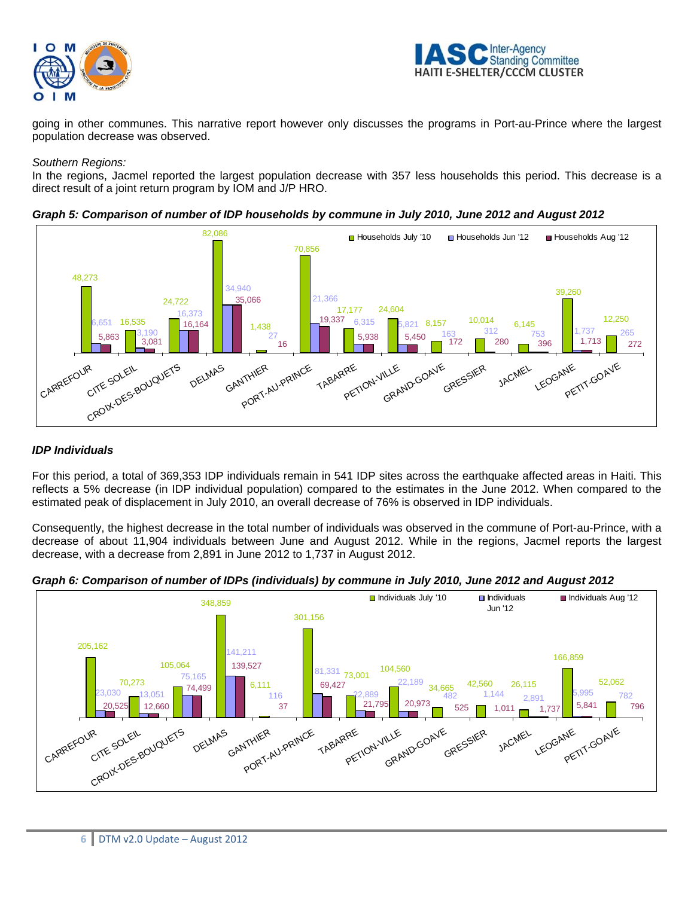



going in other communes. This narrative report however only discusses the programs in Port-au-Prince where the largest population decrease was observed.

#### *Southern Regions:*

In the regions, Jacmel reported the largest population decrease with 357 less households this period. This decrease is a direct result of a joint return program by IOM and J/P HRO.





# *IDP Individuals*

For this period, a total of 369,353 IDP individuals remain in 541 IDP sites across the earthquake affected areas in Haiti. This reflects a 5% decrease (in IDP individual population) compared to the estimates in the June 2012. When compared to the estimated peak of displacement in July 2010, an overall decrease of 76% is observed in IDP individuals.

Consequently, the highest decrease in the total number of individuals was observed in the commune of Port-au-Prince, with a decrease of about 11,904 individuals between June and August 2012. While in the regions, Jacmel reports the largest decrease, with a decrease from 2,891 in June 2012 to 1,737 in August 2012.



*Graph 6: Comparison of number of IDPs (individuals) by commune in July 2010, June 2012 and August 2012*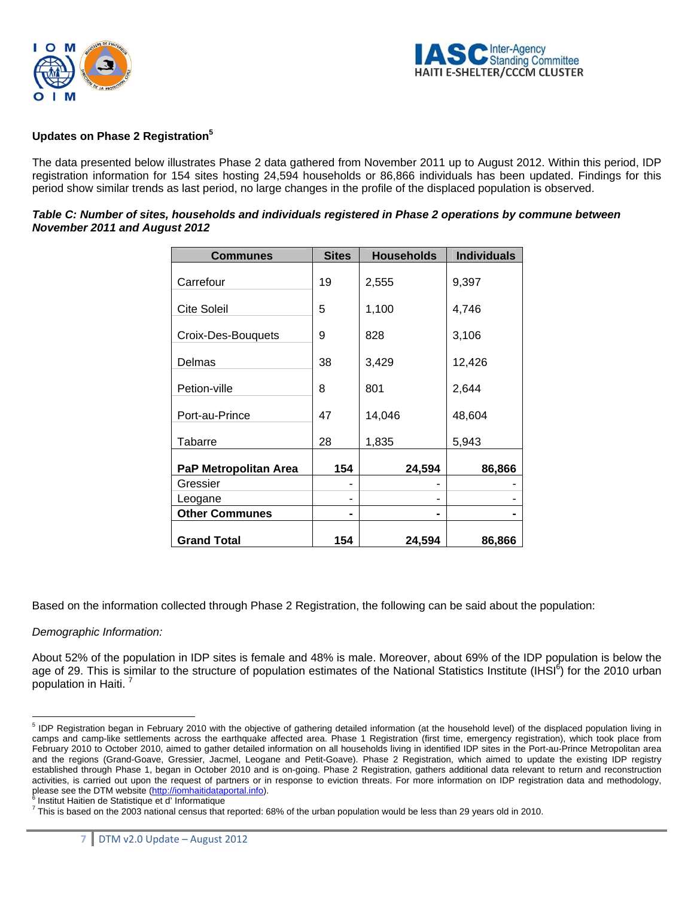



#### **Updates on Phase 2 Registration5**

The data presented below illustrates Phase 2 data gathered from November 2011 up to August 2012. Within this period, IDP registration information for 154 sites hosting 24,594 households or 86,866 individuals has been updated. Findings for this period show similar trends as last period, no large changes in the profile of the displaced population is observed.

| Table C: Number of sites, households and individuals registered in Phase 2 operations by commune between |  |
|----------------------------------------------------------------------------------------------------------|--|
| November 2011 and August 2012                                                                            |  |

| <b>Communes</b>       | <b>Sites</b> | <b>Households</b> | <b>Individuals</b> |
|-----------------------|--------------|-------------------|--------------------|
| Carrefour             | 19           | 2,555             | 9,397              |
| <b>Cite Soleil</b>    | 5            | 1,100             | 4,746              |
| Croix-Des-Bouquets    | 9            | 828               | 3,106              |
| Delmas                | 38           | 3,429             | 12,426             |
| Petion-ville          | 8            | 801               | 2,644              |
| Port-au-Prince        | 47           | 14,046            | 48,604             |
| Tabarre               | 28           | 1,835             | 5,943              |
| PaP Metropolitan Area | 154          | 24,594            | 86,866             |
| Gressier              |              |                   |                    |
| Leogane               |              |                   |                    |
| <b>Other Communes</b> |              |                   |                    |
| <b>Grand Total</b>    | 154          | 24,594            | 86,866             |

Based on the information collected through Phase 2 Registration, the following can be said about the population:

# *Demographic Information:*

About 52% of the population in IDP sites is female and 48% is male. Moreover, about 69% of the IDP population is below the age of 29. This is similar to the structure of population estimates of the National Statistics Institute (IHSI<sup>6</sup>) for the 2010 urban population in Haiti.

 5 IDP Registration began in February 2010 with the objective of gathering detailed information (at the household level) of the displaced population living in camps and camp-like settlements across the earthquake affected area. Phase 1 Registration (first time, emergency registration), which took place from February 2010 to October 2010, aimed to gather detailed information on all households living in identified IDP sites in the Port-au-Prince Metropolitan area and the regions (Grand-Goave, Gressier, Jacmel, Leogane and Petit-Goave). Phase 2 Registration, which aimed to update the existing IDP registry established through Phase 1, began in October 2010 and is on-going. Phase 2 Registration, gathers additional data relevant to return and reconstruction activities, is carried out upon the request of partners or in response to eviction threats. For more information on IDP registration data and methodology, please see the DTM website (http://iomhaitidataportal.info).

Institut Haitien de Statistique et d' Informatique

 $^7$  This is based on the 2003 national census that reported: 68% of the urban population would be less than 29 years old in 2010.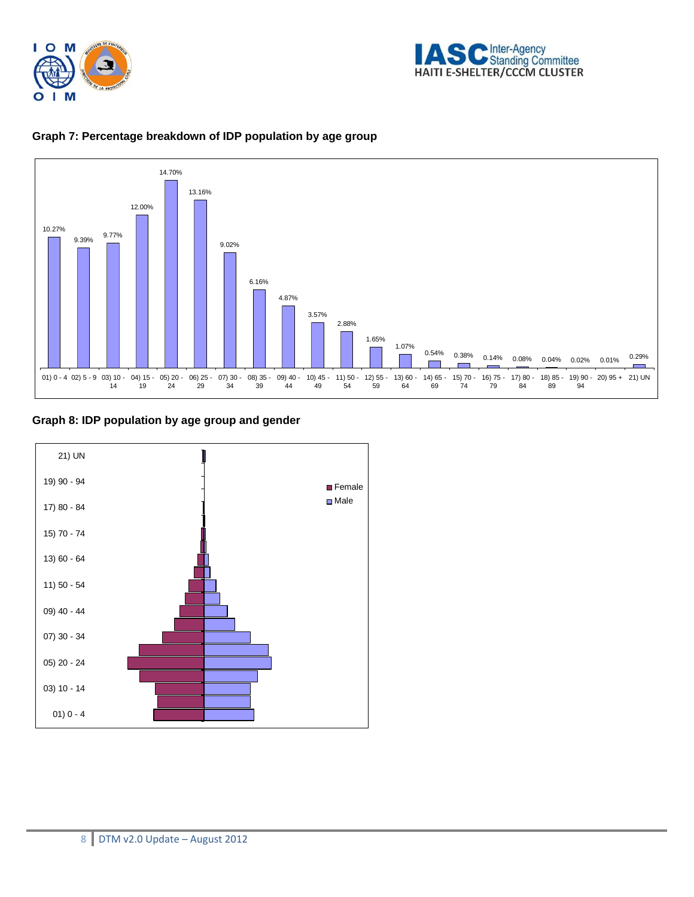





#### **Graph 7: Percentage breakdown of IDP population by age group**

**Graph 8: IDP population by age group and gender** 

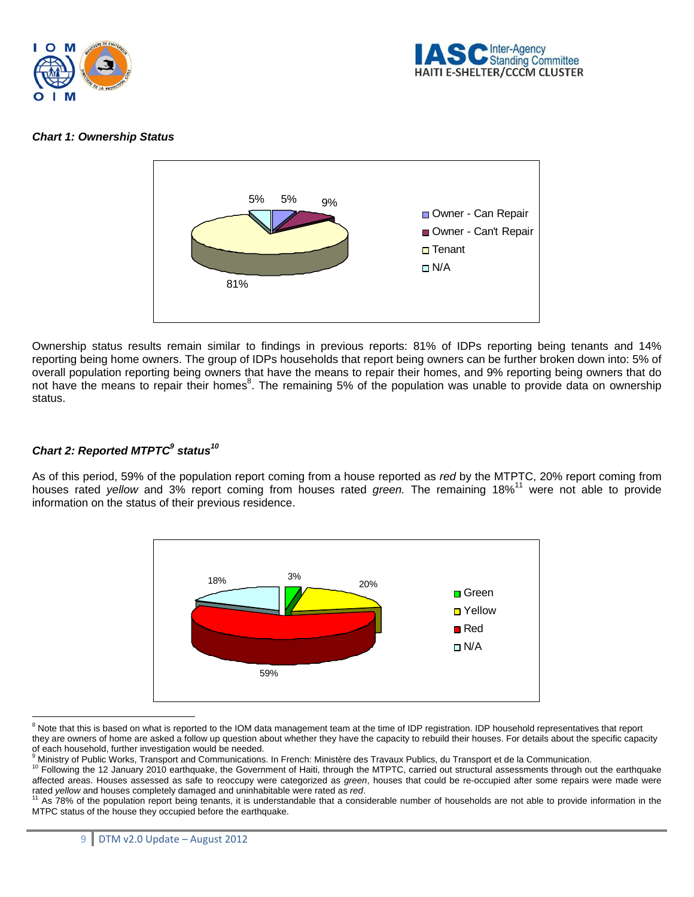



# *Chart 1: Ownership Status*



Ownership status results remain similar to findings in previous reports: 81% of IDPs reporting being tenants and 14% reporting being home owners. The group of IDPs households that report being owners can be further broken down into: 5% of overall population reporting being owners that have the means to repair their homes, and 9% reporting being owners that do not have the means to repair their homes<sup>8</sup>. The remaining 5% of the population was unable to provide data on ownership status.

#### Chart 2: Reported MTPTC<sup>9</sup> status<sup>10</sup>

As of this period, 59% of the population report coming from a house reported as *red* by the MTPTC, 20% report coming from houses rated *yellow* and 3% report coming from houses rated *green.* The remaining 18%11 were not able to provide information on the status of their previous residence.



<sup>&</sup>lt;sup>8</sup><br>Note that this is based on what is reported to the IOM data management team at the time of IDP registration. IDP household representatives that report they are owners of home are asked a follow up question about whether they have the capacity to rebuild their houses. For details about the specific capacity of each household, further investigation would be needed.<br><sup>9</sup> Ministry of Public Worke, Transport and Communications.

<sup>&</sup>lt;sup>9</sup> Ministry of Public Works, Transport and Communications. In French: Ministère des Travaux Publics, du Transport et de la Communication.<br><sup>10</sup> Following the 12 January 2010 earthquake, the Government of Haiti, through the affected areas. Houses assessed as safe to reoccupy were categorized as *green*, houses that could be re-occupied after some repairs were made were<br>rated *yellow* and houses completely damaged and uninhabitable were rated

As 78% of the population report being tenants, it is understandable that a considerable number of households are not able to provide information in the MTPC status of the house they occupied before the earthquake.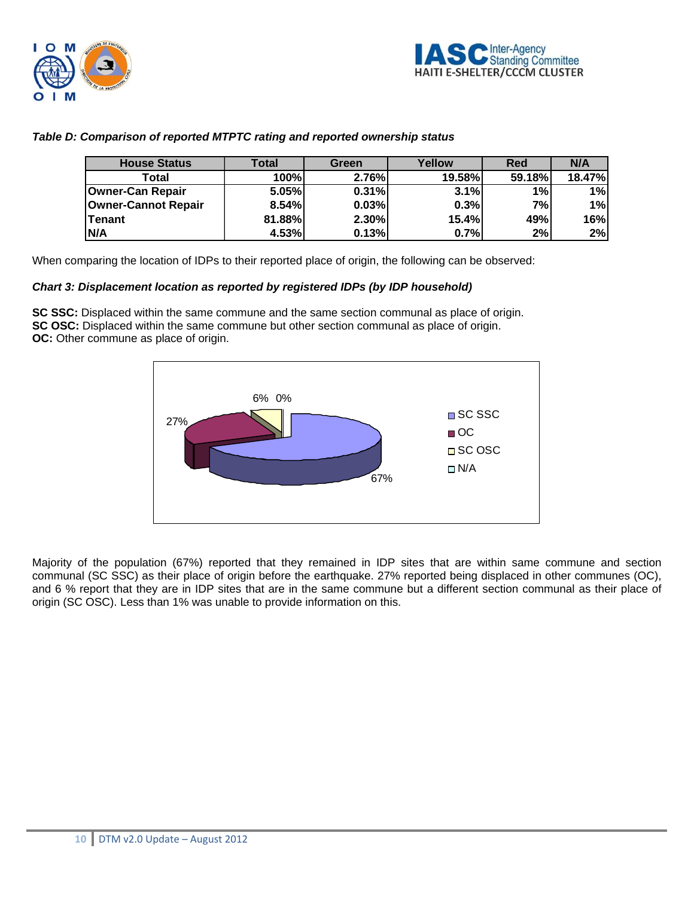



# *Table D: Comparison of reported MTPTC rating and reported ownership status*

| <b>House Status</b>     | Total  | Green | Yellow        | <b>Red</b> | N/A           |
|-------------------------|--------|-------|---------------|------------|---------------|
| Total                   | 100%   | 2.76% | <b>19.58%</b> | 59.18%     | <b>18.47%</b> |
| <b>Owner-Can Repair</b> | 5.05%  | 0.31% | 3.1%          | 1%         | 1%            |
| Owner-Cannot Repair     | 8.54%  | 0.03% | 0.3%          | 7%         | 1%            |
| lTenant                 | 81.88% | 2.30% | 15.4%         | 49%        | 16%           |
| <b>N/A</b>              | 4.53%  | 0.13% | 0.7%          | 2%         | 2%            |

When comparing the location of IDPs to their reported place of origin, the following can be observed:

# *Chart 3: Displacement location as reported by registered IDPs (by IDP household)*

**SC SSC:** Displaced within the same commune and the same section communal as place of origin. **SC OSC:** Displaced within the same commune but other section communal as place of origin. **OC:** Other commune as place of origin.



Majority of the population (67%) reported that they remained in IDP sites that are within same commune and section communal (SC SSC) as their place of origin before the earthquake. 27% reported being displaced in other communes (OC), and 6 % report that they are in IDP sites that are in the same commune but a different section communal as their place of origin (SC OSC). Less than 1% was unable to provide information on this.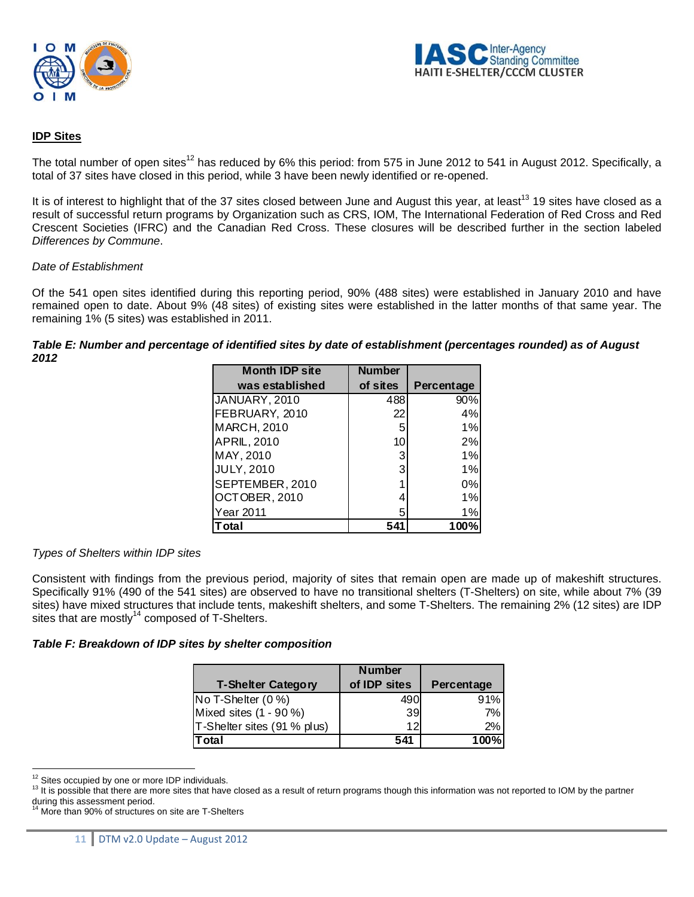



#### **IDP Sites**

The total number of open sites<sup>12</sup> has reduced by 6% this period: from 575 in June 2012 to 541 in August 2012. Specifically, a total of 37 sites have closed in this period, while 3 have been newly identified or re-opened.

It is of interest to highlight that of the 37 sites closed between June and August this year, at least<sup>13</sup> 19 sites have closed as a result of successful return programs by Organization such as CRS, IOM, The International Federation of Red Cross and Red Crescent Societies (IFRC) and the Canadian Red Cross. These closures will be described further in the section labeled *Differences by Commune*.

#### *Date of Establishment*

Of the 541 open sites identified during this reporting period, 90% (488 sites) were established in January 2010 and have remained open to date. About 9% (48 sites) of existing sites were established in the latter months of that same year. The remaining 1% (5 sites) was established in 2011.

#### *Table E: Number and percentage of identified sites by date of establishment (percentages rounded) as of August 2012*

| <b>Month IDP site</b> | <b>Number</b> |            |
|-----------------------|---------------|------------|
| was established       | of sites      | Percentage |
| JANUARY, 2010         | 488           | 90%        |
| FEBRUARY, 2010        | 22            | 4%         |
| <b>MARCH, 2010</b>    | 5             | 1%         |
| <b>APRIL, 2010</b>    | 10            | 2%         |
| MAY, 2010             | 3             | 1%         |
| <b>JULY, 2010</b>     | 3             | 1%         |
| SEPTEMBER, 2010       |               | 0%         |
| OCTOBER, 2010         |               | 1%         |
| <b>Year 2011</b>      | 5             | 1%         |
| otal                  | 541           | 100%       |

#### *Types of Shelters within IDP sites*

Consistent with findings from the previous period, majority of sites that remain open are made up of makeshift structures. Specifically 91% (490 of the 541 sites) are observed to have no transitional shelters (T-Shelters) on site, while about 7% (39 sites) have mixed structures that include tents, makeshift shelters, and some T-Shelters. The remaining 2% (12 sites) are IDP sites that are mostly<sup>14</sup> composed of T-Shelters.

#### *Table F: Breakdown of IDP sites by shelter composition*

|                             | <b>Number</b> |            |
|-----------------------------|---------------|------------|
| <b>T-Shelter Category</b>   | of IDP sites  | Percentage |
| No T-Shelter (0 %)          | 490           | 91%        |
| Mixed sites (1 - 90 %)      | 39            | 7%         |
| T-Shelter sites (91 % plus) | 12            | 2%         |
| <b>Total</b>                | 541           | 100%       |

<sup>&</sup>lt;sup>12</sup> Sites occupied by one or more IDP individuals.

<sup>&</sup>lt;sup>13</sup> It is possible that there are more sites that have closed as a result of return programs though this information was not reported to IOM by the partner during this assessment period.

More than 90% of structures on site are T-Shelters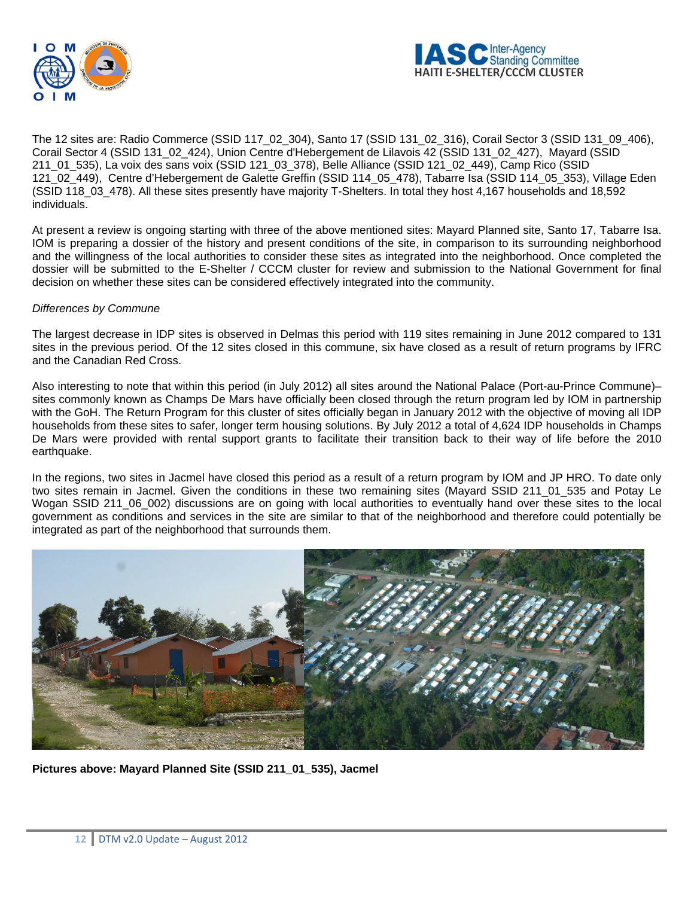



The 12 sites are: Radio Commerce (SSID 117\_02\_304), Santo 17 (SSID 131\_02\_316), Corail Sector 3 (SSID 131\_09\_406), Corail Sector 4 (SSID 131\_02\_424), Union Centre d'Hebergement de Lilavois 42 (SSID 131\_02\_427), Mayard (SSID 211\_01\_535), La voix des sans voix (SSID 121\_03\_378), Belle Alliance (SSID 121\_02\_449), Camp Rico (SSID 121\_02\_449), Centre d'Hebergement de Galette Greffin (SSID 114\_05\_478), Tabarre Isa (SSID 114\_05\_353), Village Eden (SSID 118\_03\_478). All these sites presently have majority T-Shelters. In total they host 4,167 households and 18,592 individuals.

At present a review is ongoing starting with three of the above mentioned sites: Mayard Planned site, Santo 17, Tabarre Isa. IOM is preparing a dossier of the history and present conditions of the site, in comparison to its surrounding neighborhood and the willingness of the local authorities to consider these sites as integrated into the neighborhood. Once completed the dossier will be submitted to the E-Shelter / CCCM cluster for review and submission to the National Government for final decision on whether these sites can be considered effectively integrated into the community.

#### *Differences by Commune*

The largest decrease in IDP sites is observed in Delmas this period with 119 sites remaining in June 2012 compared to 131 sites in the previous period. Of the 12 sites closed in this commune, six have closed as a result of return programs by IFRC and the Canadian Red Cross.

Also interesting to note that within this period (in July 2012) all sites around the National Palace (Port-au-Prince Commune)– sites commonly known as Champs De Mars have officially been closed through the return program led by IOM in partnership with the GoH. The Return Program for this cluster of sites officially began in January 2012 with the objective of moving all IDP households from these sites to safer, longer term housing solutions. By July 2012 a total of 4,624 IDP households in Champs De Mars were provided with rental support grants to facilitate their transition back to their way of life before the 2010 earthquake.

In the regions, two sites in Jacmel have closed this period as a result of a return program by IOM and JP HRO. To date only two sites remain in Jacmel. Given the conditions in these two remaining sites (Mayard SSID 211 01 535 and Potay Le Wogan SSID 211\_06\_002) discussions are on going with local authorities to eventually hand over these sites to the local government as conditions and services in the site are similar to that of the neighborhood and therefore could potentially be integrated as part of the neighborhood that surrounds them.



**Pictures above: Mayard Planned Site (SSID 211\_01\_535), Jacmel**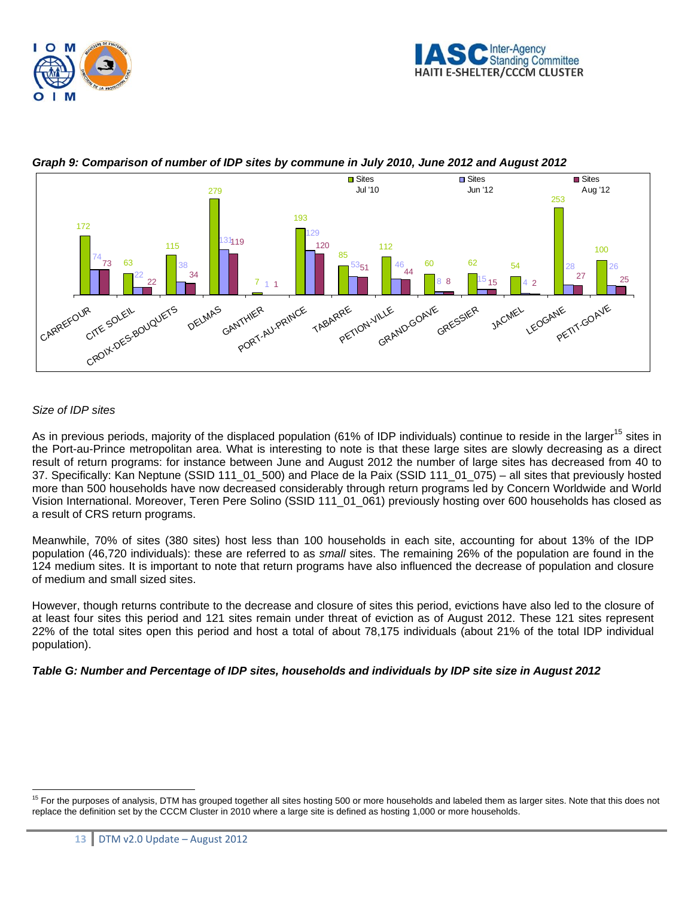



# *Graph 9: Comparison of number of IDP sites by commune in July 2010, June 2012 and August 2012*

# *Size of IDP sites*

 $\overline{a}$ 

As in previous periods, majority of the displaced population (61% of IDP individuals) continue to reside in the larger<sup>15</sup> sites in the Port-au-Prince metropolitan area. What is interesting to note is that these large sites are slowly decreasing as a direct result of return programs: for instance between June and August 2012 the number of large sites has decreased from 40 to 37. Specifically: Kan Neptune (SSID 111\_01\_500) and Place de la Paix (SSID 111\_01\_075) – all sites that previously hosted more than 500 households have now decreased considerably through return programs led by Concern Worldwide and World Vision International. Moreover, Teren Pere Solino (SSID 111\_01\_061) previously hosting over 600 households has closed as a result of CRS return programs.

Meanwhile, 70% of sites (380 sites) host less than 100 households in each site, accounting for about 13% of the IDP population (46,720 individuals): these are referred to as *small* sites. The remaining 26% of the population are found in the 124 medium sites. It is important to note that return programs have also influenced the decrease of population and closure of medium and small sized sites.

However, though returns contribute to the decrease and closure of sites this period, evictions have also led to the closure of at least four sites this period and 121 sites remain under threat of eviction as of August 2012. These 121 sites represent 22% of the total sites open this period and host a total of about 78,175 individuals (about 21% of the total IDP individual population).

#### *Table G: Number and Percentage of IDP sites, households and individuals by IDP site size in August 2012*

<sup>&</sup>lt;sup>15</sup> For the purposes of analysis, DTM has grouped together all sites hosting 500 or more households and labeled them as larger sites. Note that this does not replace the definition set by the CCCM Cluster in 2010 where a large site is defined as hosting 1,000 or more households.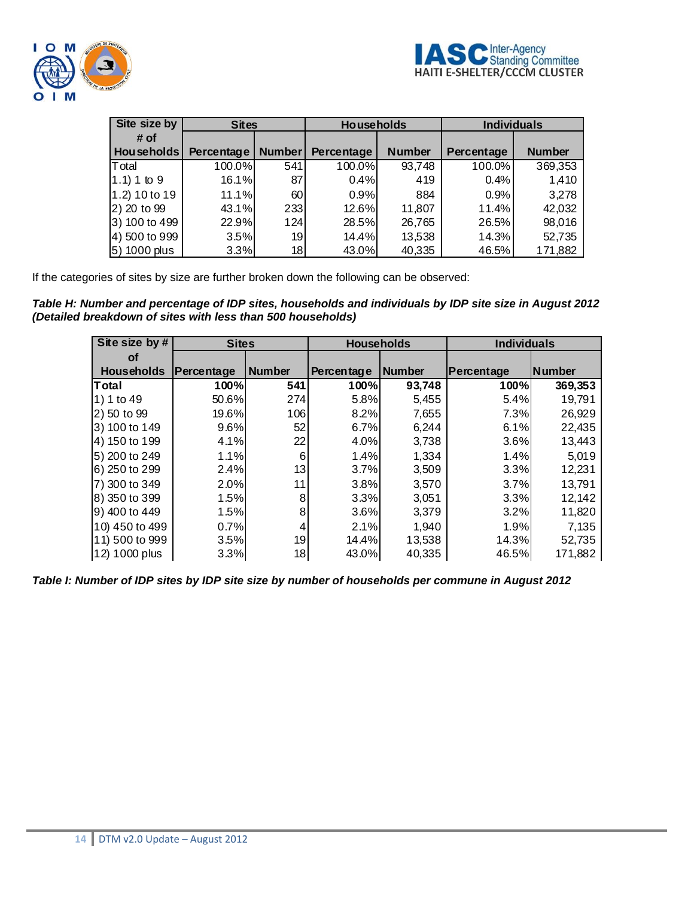

| Site size by      | <b>Sites</b> |                 | <b>Households</b> |               | <b>Individuals</b> |               |
|-------------------|--------------|-----------------|-------------------|---------------|--------------------|---------------|
| # of              |              |                 |                   |               |                    |               |
| <b>Households</b> | Percentage   | <b>Number</b>   | Percentage        | <b>Number</b> | Percentage         | <b>Number</b> |
| Total             | 100.0%       | 541             | 100.0%            | 93,748        | 100.0%             | 369,353       |
| $(1.1) 1$ to 9    | 16.1%        | 87              | 0.4%              | 419           | 0.4%               | 1,410         |
| 1.2) 10 to 19     | 11.1%        | 60              | 0.9%              | 884           | 0.9%               | 3,278         |
| 2) 20 to 99       | 43.1%        | 2331            | 12.6%             | 11,807        | 11.4%              | 42,032        |
| 3) 100 to 499     | 22.9%        | 124             | 28.5%             | 26,765        | 26.5%              | 98,016        |
| 4) 500 to 999     | 3.5%         | 19 <sub>l</sub> | 14.4%             | 13,538        | 14.3%              | 52,735        |
| 5) 1000 plus      | 3.3%         | 18              | 43.0%             | 40,335        | 46.5%              | 171,882       |

If the categories of sites by size are further broken down the following can be observed:

*Table H: Number and percentage of IDP sites, households and individuals by IDP site size in August 2012 (Detailed breakdown of sites with less than 500 households)*

| Site size by #    |            | <b>Individuals</b><br><b>Sites</b><br><b>Households</b> |            |        |            |               |
|-------------------|------------|---------------------------------------------------------|------------|--------|------------|---------------|
| Οf                |            |                                                         |            |        |            |               |
| <b>Households</b> | Percentage | <b>Number</b>                                           | Percentage | Number | Percentage | <b>Number</b> |
| <b>T</b> otal     | 100%       | 541                                                     | 100%       | 93,748 | 100%       | 369,353       |
| 1) 1 to 49        | 50.6%      | 274                                                     | 5.8%       | 5,455  | 5.4%       | 19,791        |
| 2) 50 to 99       | 19.6%      | 106                                                     | 8.2%       | 7,655  | 7.3%       | 26,929        |
| 3) 100 to 149     | 9.6%       | 52                                                      | 6.7%       | 6,244  | 6.1%       | 22,435        |
| 4) 150 to 199     | 4.1%       | 22                                                      | 4.0%       | 3,738  | 3.6%       | 13,443        |
| 5) 200 to 249     | 1.1%       | 6                                                       | 1.4%       | 1,334  | 1.4%       | 5,019         |
| 6) 250 to 299     | 2.4%       | 13                                                      | 3.7%       | 3,509  | 3.3%       | 12,231        |
| 7) 300 to 349     | 2.0%       | 11                                                      | 3.8%       | 3,570  | 3.7%       | 13,791        |
| 8) 350 to 399     | 1.5%       | 8                                                       | 3.3%       | 3,051  | 3.3%       | 12,142        |
| 9) 400 to 449     | 1.5%       | 8                                                       | 3.6%       | 3,379  | 3.2%       | 11,820        |
| 10) 450 to 499    | 0.7%       | 4                                                       | 2.1%       | 1,940  | 1.9%       | 7,135         |
| 11) 500 to 999    | 3.5%       | 19                                                      | 14.4%      | 13,538 | 14.3%      | 52,735        |
| 12) 1000 plus     | 3.3%       | 18                                                      | 43.0%      | 40,335 | 46.5%      | 171,882       |

*Table I: Number of IDP sites by IDP site size by number of households per commune in August 2012*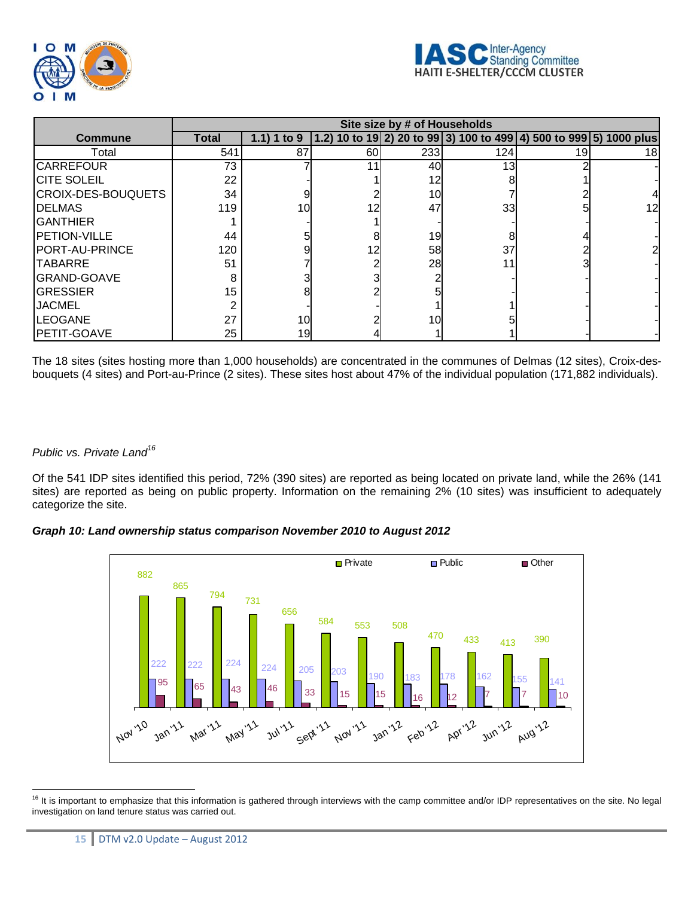

|                           | Site size by # of Households |             |    |     |     |                                                                    |     |
|---------------------------|------------------------------|-------------|----|-----|-----|--------------------------------------------------------------------|-----|
| <b>Commune</b>            | <b>Total</b>                 | 1.1) 1 to 9 |    |     |     | 1.2) 10 to 19 2) 20 to 99 3) 100 to 499 4) 500 to 999 5) 1000 plus |     |
| Total                     | 541                          | 87          | 60 | 233 | 124 | 19                                                                 | 181 |
| <b>CARREFOUR</b>          | 73                           |             | 11 | 40  | 13  |                                                                    |     |
| <b>CITE SOLEIL</b>        | 22                           |             |    | 12  |     |                                                                    |     |
| <b>CROIX-DES-BOUQUETS</b> | 34                           |             |    | 10  |     |                                                                    |     |
| <b>DELMAS</b>             | 119                          | 10          | 12 | 47  | 33  |                                                                    | 12  |
| <b>GANTHIER</b>           |                              |             |    |     |     |                                                                    |     |
| <b>PETION-VILLE</b>       | 44                           |             |    | 19  |     |                                                                    |     |
| PORT-AU-PRINCE            | 120                          |             | 12 | 58  | 37  |                                                                    |     |
| <b>TABARRE</b>            | 51                           |             |    | 28  |     |                                                                    |     |
| <b>GRAND-GOAVE</b>        | 8                            |             |    |     |     |                                                                    |     |
| <b>GRESSIER</b>           | 15                           |             |    |     |     |                                                                    |     |
| <b>JACMEL</b>             | 2                            |             |    |     |     |                                                                    |     |
| <b>LEOGANE</b>            | 27                           | 10          |    | 10  |     |                                                                    |     |
| PETIT-GOAVE               | 25                           | 19          |    |     |     |                                                                    |     |

The 18 sites (sites hosting more than 1,000 households) are concentrated in the communes of Delmas (12 sites), Croix-desbouquets (4 sites) and Port-au-Prince (2 sites). These sites host about 47% of the individual population (171,882 individuals).

# *Public vs. Private Land16*

Of the 541 IDP sites identified this period, 72% (390 sites) are reported as being located on private land, while the 26% (141 sites) are reported as being on public property. Information on the remaining 2% (10 sites) was insufficient to adequately categorize the site.

*Graph 10: Land ownership status comparison November 2010 to August 2012* 



 $\overline{a}$ <sup>16</sup> It is important to emphasize that this information is gathered through interviews with the camp committee and/or IDP representatives on the site. No legal investigation on land tenure status was carried out.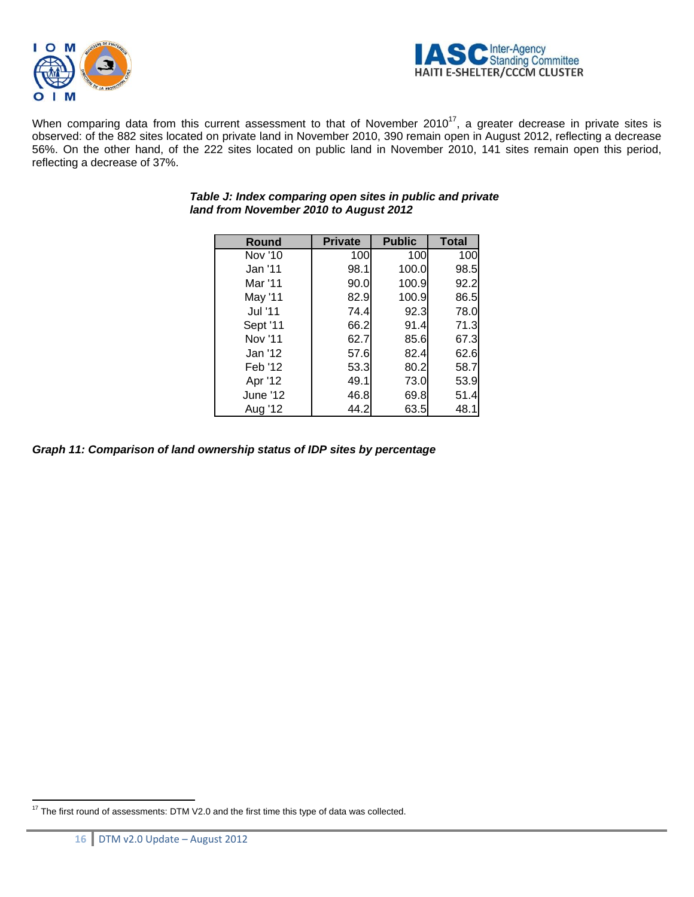



When comparing data from this current assessment to that of November 2010<sup>17</sup>, a greater decrease in private sites is observed: of the 882 sites located on private land in November 2010, 390 remain open in August 2012, reflecting a decrease 56%. On the other hand, of the 222 sites located on public land in November 2010, 141 sites remain open this period, reflecting a decrease of 37%.

| Round    | <b>Private</b> | <b>Public</b> | <b>Total</b> |
|----------|----------------|---------------|--------------|
| Nov '10  | 100            | 100           | 100          |
| Jan '11  | 98.1           | 100.0         | 98.5         |
| Mar '11  | 90.0           | 100.9         | 92.2         |
| May '11  | 82.9           | 100.9         | 86.5         |
| Jul '11  | 74.4           | 92.3          | 78.0         |
| Sept '11 | 66.2           | 91.4          | 71.3I        |
| Nov '11  | 62.7           | 85.6          | 67.3         |
| Jan '12  | 57.6           | 82.4          | 62.6         |
| Feb '12  | 53.3           | 80.2          | 58.7         |
| Apr '12  | 49.1           | 73.0          | 53.9         |
| June '12 | 46.8           | 69.8          | 51.4         |
| Aug '12  | 44.2           | 63.5          | 48.1         |

# *Table J: Index comparing open sites in public and private land from November 2010 to August 2012*

*Graph 11: Comparison of land ownership status of IDP sites by percentage* 

 $\overline{a}$  $17$  The first round of assessments: DTM V2.0 and the first time this type of data was collected.